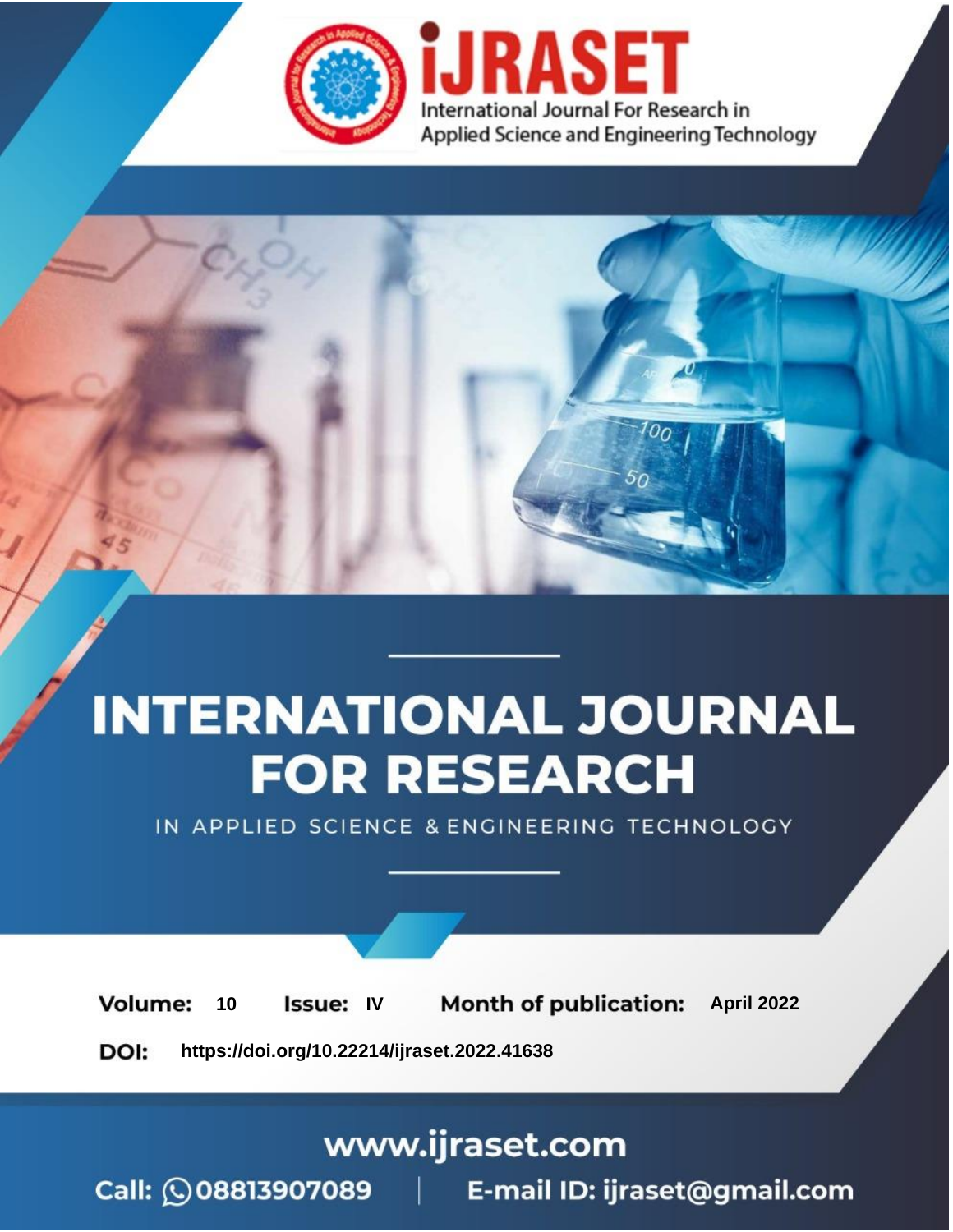

# **INTERNATIONAL JOURNAL FOR RESEARCH**

IN APPLIED SCIENCE & ENGINEERING TECHNOLOGY

10 **Issue: IV Month of publication:** April 2022 **Volume:** 

**https://doi.org/10.22214/ijraset.2022.41638**DOI:

www.ijraset.com

Call: 008813907089 | E-mail ID: ijraset@gmail.com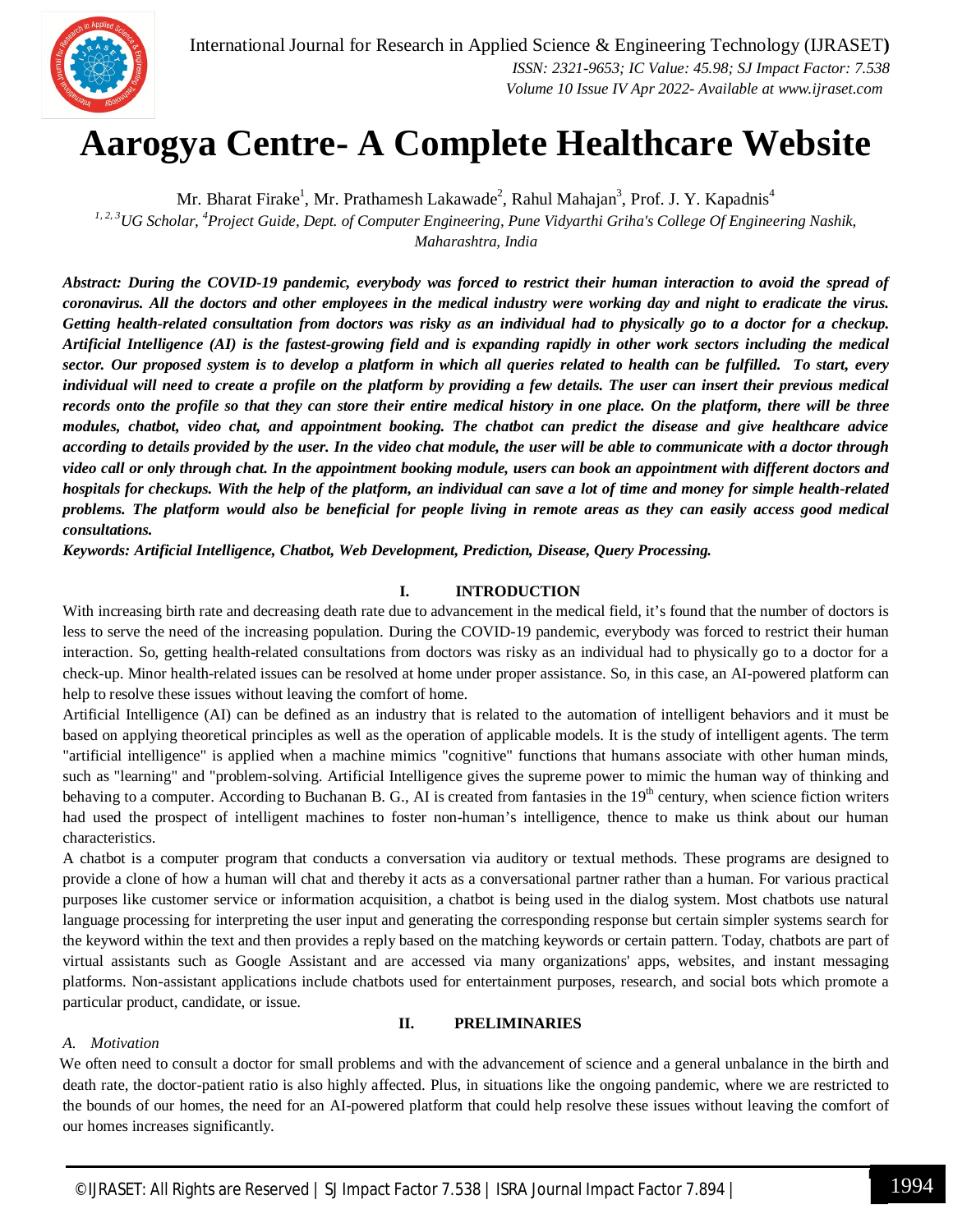

### **Aarogya Centre- A Complete Healthcare Website**

Mr. Bharat Firake<sup>1</sup>, Mr. Prathamesh Lakawade<sup>2</sup>, Rahul Mahajan<sup>3</sup>, Prof. J. Y. Kapadnis<sup>4</sup> *1, 2, 3UG Scholar, <sup>4</sup>Project Guide, Dept. of Computer Engineering, Pune Vidyarthi Griha's College Of Engineering Nashik, Maharashtra, India*

*Abstract: During the COVID-19 pandemic, everybody was forced to restrict their human interaction to avoid the spread of coronavirus. All the doctors and other employees in the medical industry were working day and night to eradicate the virus. Getting health-related consultation from doctors was risky as an individual had to physically go to a doctor for a checkup. Artificial Intelligence (AI) is the fastest-growing field and is expanding rapidly in other work sectors including the medical sector. Our proposed system is to develop a platform in which all queries related to health can be fulfilled. To start, every individual will need to create a profile on the platform by providing a few details. The user can insert their previous medical records onto the profile so that they can store their entire medical history in one place. On the platform, there will be three modules, chatbot, video chat, and appointment booking. The chatbot can predict the disease and give healthcare advice according to details provided by the user. In the video chat module, the user will be able to communicate with a doctor through video call or only through chat. In the appointment booking module, users can book an appointment with different doctors and hospitals for checkups. With the help of the platform, an individual can save a lot of time and money for simple health-related problems. The platform would also be beneficial for people living in remote areas as they can easily access good medical consultations.* 

*Keywords: Artificial Intelligence, Chatbot, Web Development, Prediction, Disease, Query Processing.*

#### **I. INTRODUCTION**

With increasing birth rate and decreasing death rate due to advancement in the medical field, it's found that the number of doctors is less to serve the need of the increasing population. During the COVID-19 pandemic, everybody was forced to restrict their human interaction. So, getting health-related consultations from doctors was risky as an individual had to physically go to a doctor for a check-up. Minor health-related issues can be resolved at home under proper assistance. So, in this case, an AI-powered platform can help to resolve these issues without leaving the comfort of home.

Artificial Intelligence (AI) can be defined as an industry that is related to the automation of intelligent behaviors and it must be based on applying theoretical principles as well as the operation of applicable models. It is the study of intelligent agents. The term "artificial intelligence" is applied when a machine mimics "cognitive" functions that humans associate with other human minds, such as "learning" and "problem-solving. Artificial Intelligence gives the supreme power to mimic the human way of thinking and behaving to a computer. According to Buchanan B. G., AI is created from fantasies in the 19<sup>th</sup> century, when science fiction writers had used the prospect of intelligent machines to foster non-human's intelligence, thence to make us think about our human characteristics.

A chatbot is a computer program that conducts a conversation via auditory or textual methods. These programs are designed to provide a clone of how a human will chat and thereby it acts as a conversational partner rather than a human. For various practical purposes like customer service or information acquisition, a chatbot is being used in the dialog system. Most chatbots use natural language processing for interpreting the user input and generating the corresponding response but certain simpler systems search for the keyword within the text and then provides a reply based on the matching keywords or certain pattern. Today, chatbots are part of virtual assistants such as Google Assistant and are accessed via many organizations' apps, websites, and instant messaging platforms. Non-assistant applications include chatbots used for entertainment purposes, research, and social bots which promote a particular product, candidate, or issue.

#### **II. PRELIMINARIES**

#### *A. Motivation*

We often need to consult a doctor for small problems and with the advancement of science and a general unbalance in the birth and death rate, the doctor-patient ratio is also highly affected. Plus, in situations like the ongoing pandemic, where we are restricted to the bounds of our homes, the need for an AI-powered platform that could help resolve these issues without leaving the comfort of our homes increases significantly.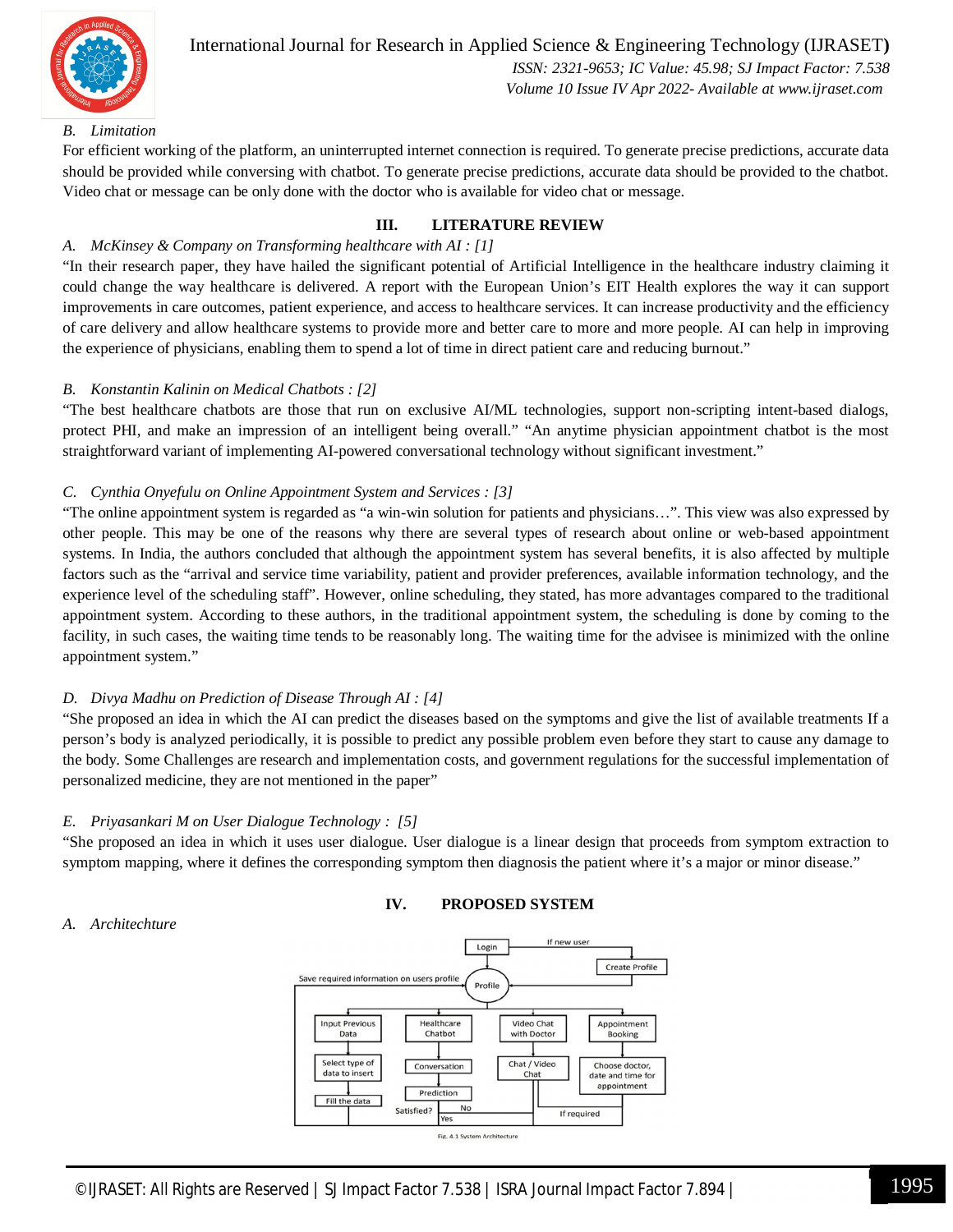

#### International Journal for Research in Applied Science & Engineering Technology (IJRASET**)**  *ISSN: 2321-9653; IC Value: 45.98; SJ Impact Factor: 7.538*

 *Volume 10 Issue IV Apr 2022- Available at www.ijraset.com*

#### *B. Limitation*

For efficient working of the platform, an uninterrupted internet connection is required. To generate precise predictions, accurate data should be provided while conversing with chatbot. To generate precise predictions, accurate data should be provided to the chatbot. Video chat or message can be only done with the doctor who is available for video chat or message.

#### **III. LITERATURE REVIEW**

#### *A. McKinsey & Company on Transforming healthcare with AI : [1]*

"In their research paper, they have hailed the significant potential of Artificial Intelligence in the healthcare industry claiming it could change the way healthcare is delivered. A report with the European Union's EIT Health explores the way it can support improvements in care outcomes, patient experience, and access to healthcare services. It can increase productivity and the efficiency of care delivery and allow healthcare systems to provide more and better care to more and more people. AI can help in improving the experience of physicians, enabling them to spend a lot of time in direct patient care and reducing burnout."

#### *B. Konstantin Kalinin on Medical Chatbots : [2]*

"The best healthcare chatbots are those that run on exclusive AI/ML technologies, support non-scripting intent-based dialogs, protect PHI, and make an impression of an intelligent being overall." "An anytime physician appointment chatbot is the most straightforward variant of implementing AI-powered conversational technology without significant investment."

#### *C. Cynthia Onyefulu on Online Appointment System and Services : [3]*

"The online appointment system is regarded as "a win-win solution for patients and physicians…". This view was also expressed by other people. This may be one of the reasons why there are several types of research about online or web-based appointment systems. In India, the authors concluded that although the appointment system has several benefits, it is also affected by multiple factors such as the "arrival and service time variability, patient and provider preferences, available information technology, and the experience level of the scheduling staff". However, online scheduling, they stated, has more advantages compared to the traditional appointment system. According to these authors, in the traditional appointment system, the scheduling is done by coming to the facility, in such cases, the waiting time tends to be reasonably long. The waiting time for the advisee is minimized with the online appointment system."

#### *D. Divya Madhu on Prediction of Disease Through AI : [4]*

"She proposed an idea in which the AI can predict the diseases based on the symptoms and give the list of available treatments If a person's body is analyzed periodically, it is possible to predict any possible problem even before they start to cause any damage to the body. Some Challenges are research and implementation costs, and government regulations for the successful implementation of personalized medicine, they are not mentioned in the paper"

#### *E. Priyasankari M on User Dialogue Technology : [5]*

"She proposed an idea in which it uses user dialogue. User dialogue is a linear design that proceeds from symptom extraction to symptom mapping, where it defines the corresponding symptom then diagnosis the patient where it's a major or minor disease."

#### **IV. PROPOSED SYSTEM**

#### *A. Architechture*

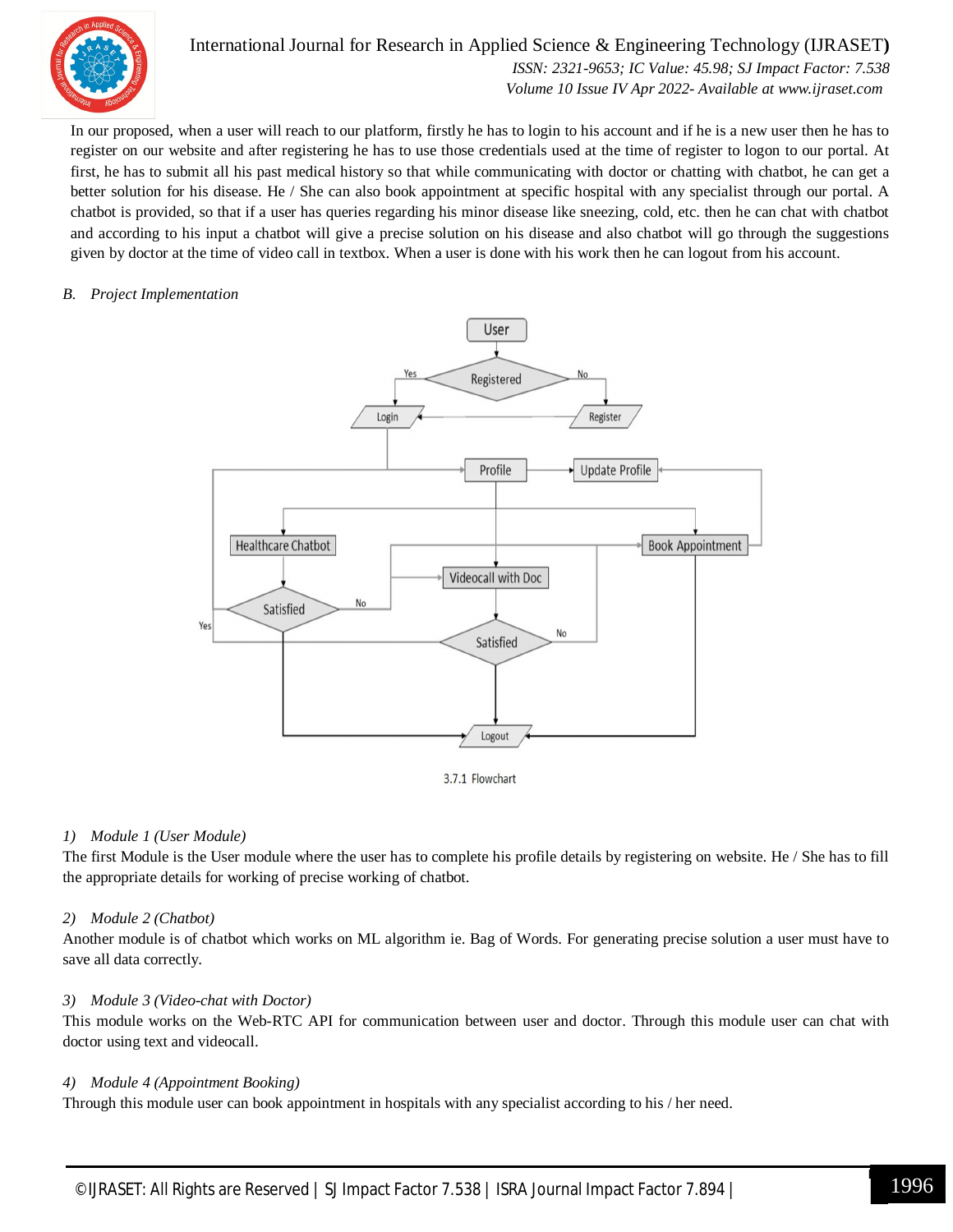

#### International Journal for Research in Applied Science & Engineering Technology (IJRASET**)**

 *ISSN: 2321-9653; IC Value: 45.98; SJ Impact Factor: 7.538 Volume 10 Issue IV Apr 2022- Available at www.ijraset.com*

In our proposed, when a user will reach to our platform, firstly he has to login to his account and if he is a new user then he has to register on our website and after registering he has to use those credentials used at the time of register to logon to our portal. At first, he has to submit all his past medical history so that while communicating with doctor or chatting with chatbot, he can get a better solution for his disease. He / She can also book appointment at specific hospital with any specialist through our portal. A chatbot is provided, so that if a user has queries regarding his minor disease like sneezing, cold, etc. then he can chat with chatbot and according to his input a chatbot will give a precise solution on his disease and also chatbot will go through the suggestions given by doctor at the time of video call in textbox. When a user is done with his work then he can logout from his account.

#### *B. Project Implementation*



3.7.1 Flowchart

#### *1) Module 1 (User Module)*

The first Module is the User module where the user has to complete his profile details by registering on website. He / She has to fill the appropriate details for working of precise working of chatbot.

#### *2) Module 2 (Chatbot)*

Another module is of chatbot which works on ML algorithm ie. Bag of Words. For generating precise solution a user must have to save all data correctly.

#### *3) Module 3 (Video-chat with Doctor)*

This module works on the Web-RTC API for communication between user and doctor. Through this module user can chat with doctor using text and videocall.

#### *4) Module 4 (Appointment Booking)*

Through this module user can book appointment in hospitals with any specialist according to his / her need.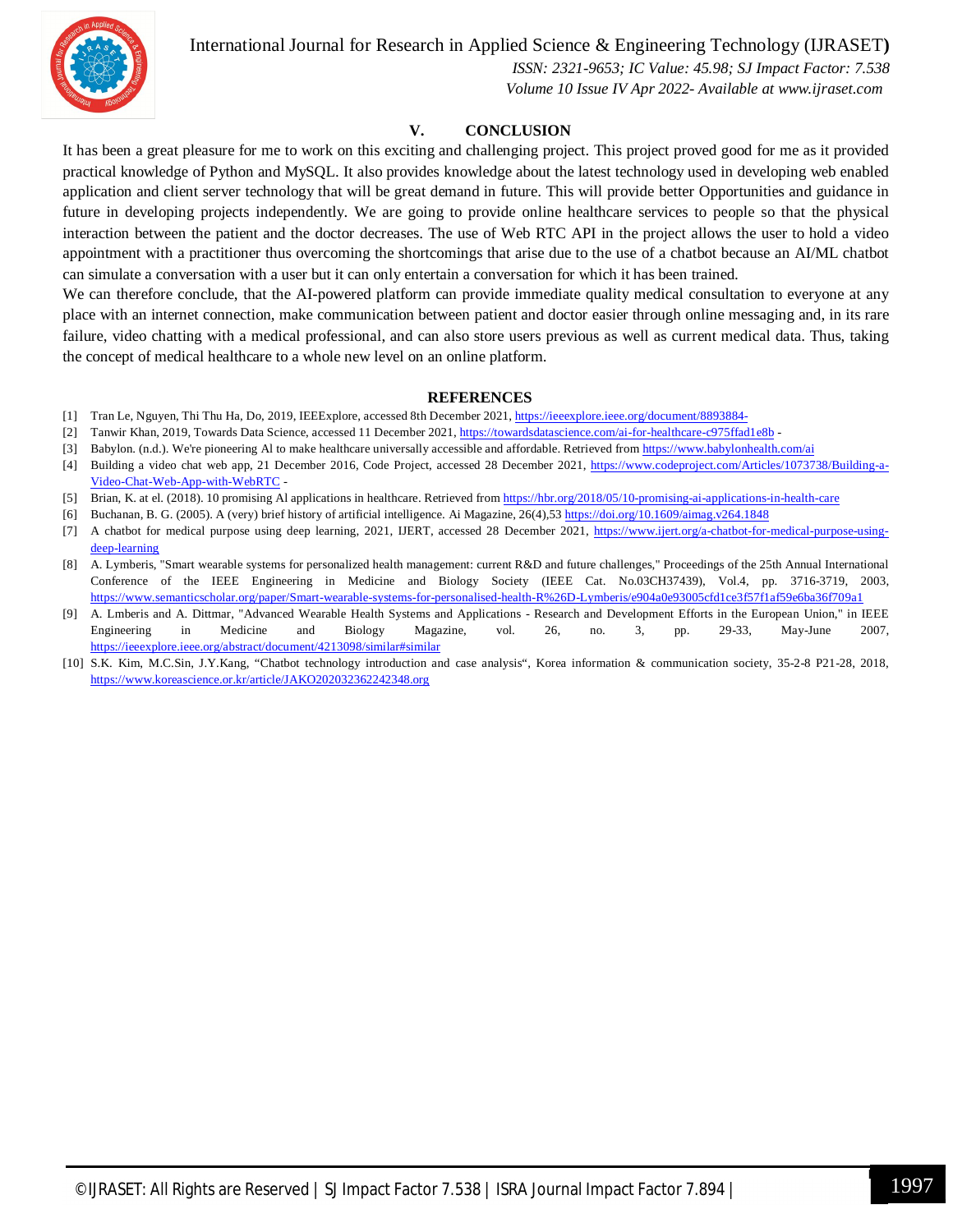International Journal for Research in Applied Science & Engineering Technology (IJRASET**)**



 *ISSN: 2321-9653; IC Value: 45.98; SJ Impact Factor: 7.538 Volume 10 Issue IV Apr 2022- Available at www.ijraset.com*

#### **V. CONCLUSION**

It has been a great pleasure for me to work on this exciting and challenging project. This project proved good for me as it provided practical knowledge of Python and MySQL. It also provides knowledge about the latest technology used in developing web enabled application and client server technology that will be great demand in future. This will provide better Opportunities and guidance in future in developing projects independently. We are going to provide online healthcare services to people so that the physical interaction between the patient and the doctor decreases. The use of Web RTC API in the project allows the user to hold a video appointment with a practitioner thus overcoming the shortcomings that arise due to the use of a chatbot because an AI/ML chatbot can simulate a conversation with a user but it can only entertain a conversation for which it has been trained.

We can therefore conclude, that the AI-powered platform can provide immediate quality medical consultation to everyone at any place with an internet connection, make communication between patient and doctor easier through online messaging and, in its rare failure, video chatting with a medical professional, and can also store users previous as well as current medical data. Thus, taking the concept of medical healthcare to a whole new level on an online platform.

#### **REFERENCES**

- [1] Tran Le, Nguyen, Thi Thu Ha, Do, 2019, IEEExplore, accessed 8th December 2021, https://ieeexplore.ieee.org/document/8893884-
- [2] Tanwir Khan, 2019, Towards Data Science, accessed 11 December 2021, https://towardsdatascience.com/ai-for-healthcare-c975ffad1e8b -
- [3] Babylon. (n.d.). We're pioneering Al to make healthcare universally accessible and affordable. Retrieved from https://www.babylonhealth.com/ai
- [4] Building a video chat web app, 21 December 2016, Code Project, accessed 28 December 2021, https://www.codeproject.com/Articles/1073738/Building-a-Video-Chat-Web-App-with-WebRTC -
- [5] Brian, K. at el. (2018). 10 promising Al applications in healthcare. Retrieved from https://hbr.org/2018/05/10-promising-ai-applications-in-health-care
- [6] Buchanan, B. G. (2005). A (very) brief history of artificial intelligence. Ai Magazine, 26(4),53 https://doi.org/10.1609/aimag.v264.1848
- [7] A chatbot for medical purpose using deep learning, 2021, IJERT, accessed 28 December 2021, https://www.ijert.org/a-chatbot-for-medical-purpose-usingdeep-learning
- [8] A. Lymberis, "Smart wearable systems for personalized health management: current R&D and future challenges," Proceedings of the 25th Annual International Conference of the IEEE Engineering in Medicine and Biology Society (IEEE Cat. No.03CH37439), Vol.4, pp. 3716-3719, 2003, https://www.semanticscholar.org/paper/Smart-wearable-systems-for-personalised-health-R%26D-Lymberis/e904a0e93005cfd1ce3f57f1af59e6ba36f709a1
- [9] A. Lmberis and A. Dittmar, "Advanced Wearable Health Systems and Applications Research and Development Efforts in the European Union," in IEEE Engineering in Medicine and Biology Magazine, vol. 26, no. 3, pp. 29-33, May-June 2007, https://ieeexplore.ieee.org/abstract/document/4213098/similar#similar
- [10] S.K. Kim, M.C.Sin, J.Y.Kang, "Chatbot technology introduction and case analysis", Korea information & communication society, 35-2-8 P21-28, 2018, https://www.koreascience.or.kr/article/JAKO202032362242348.org